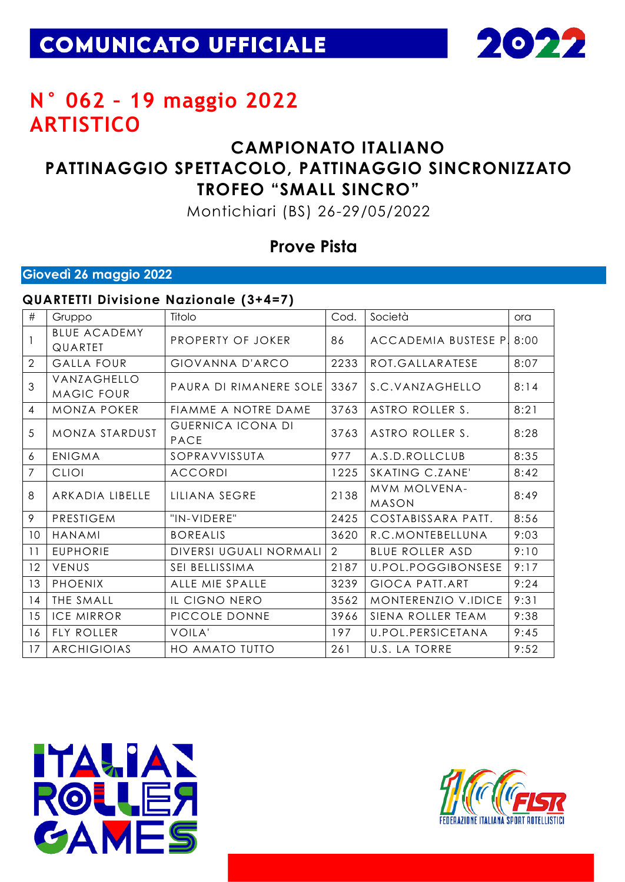

# **N° 062 – 19 maggio 2022 ARTISTICO**

# **CAMPIONATO ITALIANO PATTINAGGIO SPETTACOLO, PATTINAGGIO SINCRONIZZATO TROFEO "SMALL SINCRO"**

Montichiari (BS) 26-29/05/2022

# **Prove Pista**

### **Giovedì 26 maggio 2022**

### **QUARTETTI Divisione Nazionale (3+4=7)**

| #              | Gruppo                           | Titolo                                  | Cod. | Società                    | ora  |
|----------------|----------------------------------|-----------------------------------------|------|----------------------------|------|
|                | <b>BLUE ACADEMY</b><br>QUARTET   | PROPERTY OF JOKER                       | 86   | <b>ACCADEMIA BUSTESE P</b> | 8:00 |
| $\overline{2}$ | <b>GALLA FOUR</b>                | GIOVANNA D'ARCO                         | 2233 | ROT.GALLARATESE            | 8:07 |
| 3              | VANZAGHELLO<br><b>MAGIC FOUR</b> | PAURA DI RIMANERE SOLE                  | 3367 | S.C.VANZAGHELLO            | 8:14 |
| $\overline{4}$ | <b>MONZA POKER</b>               | FIAMME A NOTRE DAME                     | 3763 | ASTRO ROLLER S.            | 8:21 |
| 5              | MONZA STARDUST                   | <b>GUERNICA ICONA DI</b><br><b>PACE</b> | 3763 | ASTRO ROLLER S.            | 8:28 |
| 6              | <b>ENIGMA</b>                    | SOPRAVVISSUTA                           | 977  | A.S.D.ROLLCLUB             | 8:35 |
| 7              | <b>CLIOI</b>                     | <b>ACCORDI</b>                          | 1225 | SKATING C.ZANE'            | 8:42 |
| 8              | ARKADIA LIBELLE                  | LILIANA SEGRE                           | 2138 | MVM MOLVENA-<br>MASON      | 8:49 |
| 9              | PRESTIGEM                        | "IN-VIDERE"                             | 2425 | COSTABISSARA PATT.         | 8:56 |
| 10             | <b>HANAMI</b>                    | <b>BOREALIS</b>                         | 3620 | R.C.MONTEBELLUNA           | 9:03 |
| 11             | <b>EUPHORIE</b>                  | DIVERSI UGUALI NORMALI                  | 2    | <b>BLUE ROLLER ASD</b>     | 9:10 |
| 12             | VENUS                            | SEI BELLISSIMA                          | 2187 | U.POL.POGGIBONSESE         | 9:17 |
| 13             | <b>PHOENIX</b>                   | ALLE MIE SPALLE                         | 3239 | <b>GIOCA PATT.ART</b>      | 9:24 |
| 14             | THE SMALL                        | IL CIGNO NERO                           | 3562 | MONTERENZIO V.IDICE        | 9:31 |
| 15             | <b>ICE MIRROR</b>                | PICCOLE DONNE                           | 3966 | SIENA ROLLER TEAM          | 9:38 |
| 16             | <b>FLY ROLLER</b>                | VOILA'                                  | 197  | U.POL.PERSICETANA          | 9:45 |
| 17             | <b>ARCHIGIOIAS</b>               | HO AMATO TUTTO                          | 261  | U.S. LA TORRE              | 9:52 |



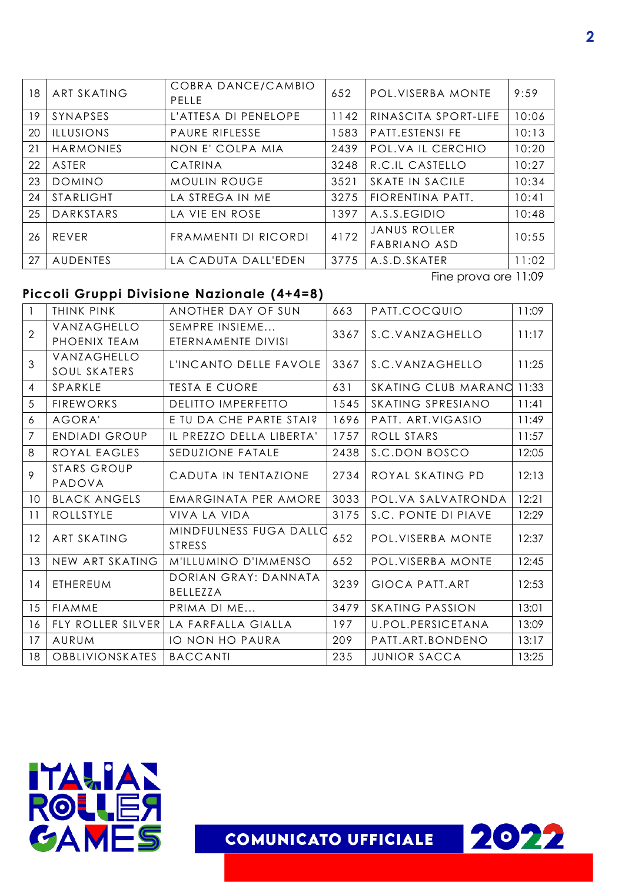| 18 | <b>ART SKATING</b> | COBRA DANCE/CAMBIO<br>PELLE | 652  | POL. VISERBA MONTE     | 9:59  |
|----|--------------------|-----------------------------|------|------------------------|-------|
| 19 | SYNAPSES           | L'ATTESA DI PENELOPE        | 1142 | RINASCITA SPORT-LIFE   | 10:06 |
| 20 | <b>ILLUSIONS</b>   | <b>PAURE RIFLESSE</b>       | 1583 | <b>PATT.ESTENSI FE</b> | 10:13 |
| 21 | <b>HARMONIES</b>   | NON E' COLPA MIA            | 2439 | POL.VA IL CERCHIO      | 10:20 |
| 22 | ASTER              | CATRINA                     | 3248 | R.C.IL CASTELLO        | 10:27 |
| 23 | <b>DOMINO</b>      | <b>MOULIN ROUGE</b>         | 3521 | SKATE IN SACILE        | 10:34 |
| 24 | <b>STARLIGHT</b>   | LA STREGA IN ME             | 3275 | FIORENTINA PATT.       | 10:41 |
| 25 | DARKSTARS          | LA VIE EN ROSE              | 1397 | A.S.S.EGIDIO           | 10:48 |
| 26 | RFVFR              | FRAMMENTI DI RICORDI        | 4172 | <b>JANUS ROLLER</b>    | 10:55 |
|    |                    |                             |      | <b>FABRIANO ASD</b>    |       |
| 27 | AUDENTES           | LA CADUTA DALL'EDEN         | 3775 | A.S.D.SKATER           | 11:02 |

Fine prova ore 11:09

## **Piccoli Gruppi Divisione Nazionale (4+4=8)**

|                | THINK PINK                          | ANOTHER DAY OF SUN                      | 663  | PATT.COCQUIO              | 11:09 |
|----------------|-------------------------------------|-----------------------------------------|------|---------------------------|-------|
| $\overline{2}$ | VANZAGHELLO<br>PHOENIX TEAM         | SEMPRE INSIEME<br>ETERNAMENTE DIVISI    | 3367 | S.C.VANZAGHELLO           | 11:17 |
| 3              | VANZAGHELLO<br>SOUL SKATERS         | L'INCANTO DELLE FAVOLE                  | 3367 | S.C.VANZAGHELLO           | 11:25 |
| 4              | SPARKLE                             | <b>TESTA E CUORE</b>                    | 631  | SKATING CLUB MARANO 11:33 |       |
| 5              | <b>FIREWORKS</b>                    | <b>DELITIO IMPERFETTO</b>               | 1545 | SKATING SPRESIANO         | 11:41 |
| 6              | AGORA'                              | E TU DA CHE PARTE STAI?                 | 1696 | PATT. ART. VIGASIO        | 11:49 |
| $\overline{7}$ | <b>ENDIADI GROUP</b>                | IL PREZZO DELLA LIBERTA'                | 1757 | ROLL STARS                | 11:57 |
| 8              | ROYAL EAGLES                        | SEDUZIONE FATALE                        | 2438 | S.C.DON BOSCO             | 12:05 |
| 9              | <b>STARS GROUP</b><br><b>PADOVA</b> | CADUTA IN TENTAZIONE                    | 2734 | ROYAL SKATING PD          | 12:13 |
| 10             | <b>BLACK ANGELS</b>                 | EMARGINATA PER AMORE                    | 3033 | POL. VA SALVATRONDA       | 12:21 |
| 11             | ROLLSTYLE                           | VIVA LA VIDA                            | 3175 | S.C. PONTE DI PIAVE       | 12:29 |
| 12             | ART SKATING                         | MINDFULNESS FUGA DALLO<br><b>STRESS</b> | 652  | POL. VISERBA MONTE        | 12:37 |
| 13             | NEW ART SKATING                     | M'ILLUMINO D'IMMENSO                    | 652  | POL. VISERBA MONTE        | 12:45 |
| 14             | ETHEREUM                            | DORIAN GRAY: DANNATA<br>BELLEZZA        | 3239 | GIOCA PATT.ART            | 12:53 |
| 15             | <b>FIAMME</b>                       | PRIMA DI ME                             | 3479 | SKATING PASSION           | 13:01 |
| 16             | FLY ROLLER SILVER                   | LA FARFALLA GIALLA                      | 197  | U.POL.PERSICETANA         | 13:09 |
| 17             | AURUM                               | IO NON HO PAURA                         | 209  | PATT.ART.BONDENO          | 13:17 |
| 18             | <b>OBBLIVIONSKATES</b>              | <b>BACCANTI</b>                         | 235  | <b>JUNIOR SACCA</b>       | 13:25 |



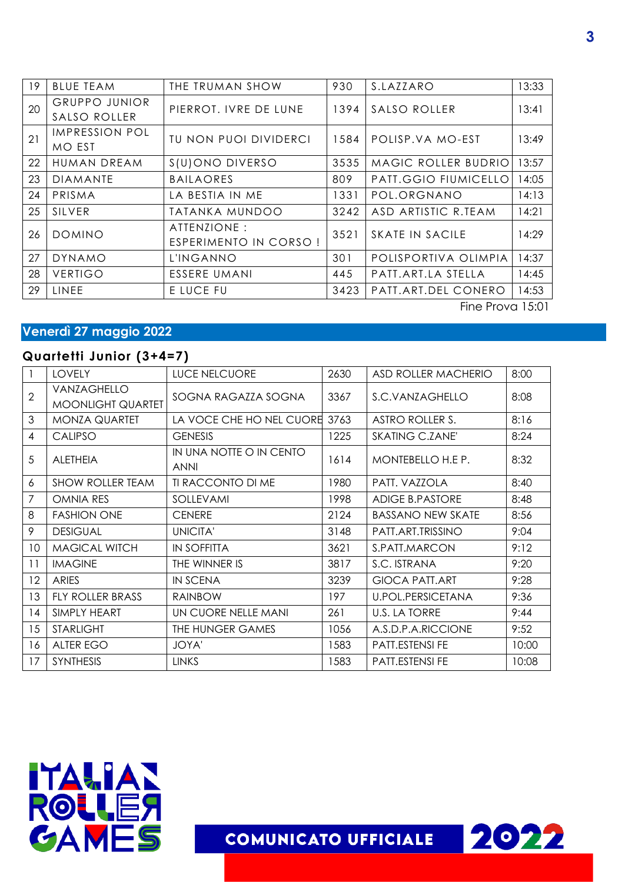| <b>BLUE TEAM</b>                     | THE TRUMAN SHOW                      | 930  | S.LAZZARO            | 13:33                                                                                                                                                                                                                                                                                                                                                                                                                         |
|--------------------------------------|--------------------------------------|------|----------------------|-------------------------------------------------------------------------------------------------------------------------------------------------------------------------------------------------------------------------------------------------------------------------------------------------------------------------------------------------------------------------------------------------------------------------------|
| <b>GRUPPO JUNIOR</b><br>SALSO ROLLER | PIERROT. IVRE DE LUNE                | 1394 | SALSO ROLLER         | 13:41                                                                                                                                                                                                                                                                                                                                                                                                                         |
| <b>IMPRESSION POL</b><br>MO EST      | TU NON PUOI DIVIDERCI                | 1584 | POLISP.VA MO-EST     | 13:49                                                                                                                                                                                                                                                                                                                                                                                                                         |
| HUMAN DREAM                          | S(U)ONO DIVERSO                      | 3535 | MAGIC ROLLER BUDRIO  | 13:57                                                                                                                                                                                                                                                                                                                                                                                                                         |
| <b>DIAMANTE</b>                      | <b>BAILAORES</b>                     | 809  | PATT.GGIO FIUMICELLO | 14:05                                                                                                                                                                                                                                                                                                                                                                                                                         |
| PRISMA                               | LA BESTIA IN ME                      | 1331 | POL.ORGNANO          | 14:13                                                                                                                                                                                                                                                                                                                                                                                                                         |
| SILVER                               | TATANKA MUNDOO                       | 3242 | ASD ARTISTIC R.TEAM  | 14:21                                                                                                                                                                                                                                                                                                                                                                                                                         |
| <b>DOMINO</b>                        | ATTENZIONE:<br>ESPERIMENTO IN CORSO! | 3521 | SKATE IN SACILE      | 14:29                                                                                                                                                                                                                                                                                                                                                                                                                         |
| DYNAMO                               | <b>L'INGANNO</b>                     | 301  | POLISPORTIVA OLIMPIA | 14:37                                                                                                                                                                                                                                                                                                                                                                                                                         |
| <b>VERTIGO</b>                       | ESSERE UMANI                         | 445  | PATT.ART.LA STELLA   | 14:45                                                                                                                                                                                                                                                                                                                                                                                                                         |
| LINEE                                | E LUCE FU                            | 3423 | PATT.ART.DEL CONERO  | 14:53                                                                                                                                                                                                                                                                                                                                                                                                                         |
|                                      |                                      |      |                      | $\Gamma_{\text{max}}^{\text{max}}$ = $\Gamma_{\text{max}}$ = $\Gamma_{\text{max}}$ = $\Gamma_{\text{max}}$ = $\Gamma_{\text{max}}$ = $\Gamma_{\text{max}}$ = $\Gamma_{\text{max}}$ = $\Gamma_{\text{max}}$ = $\Gamma_{\text{max}}$ = $\Gamma_{\text{max}}$ = $\Gamma_{\text{max}}$ = $\Gamma_{\text{max}}$ = $\Gamma_{\text{max}}$ = $\Gamma_{\text{max}}$ = $\Gamma_{\text{max}}$ = $\Gamma_{\text{max}}$ = $\Gamma_{\text{$ |

Fine Prova 15:01

## **Venerdì 27 maggio 2022**

#### **Quartetti Junior (3+4=7)**

|                | <b>LOVELY</b>                           | LUCE NELCUORE                          | 2630 | ASD ROLLER MACHERIO      | 8:00  |
|----------------|-----------------------------------------|----------------------------------------|------|--------------------------|-------|
| $\overline{2}$ | VANZAGHELLO<br><b>MOONLIGHT QUARTET</b> | SOGNA RAGAZZA SOGNA                    | 3367 | S.C.VANZAGHELLO          | 8:08  |
| 3              | MONZA QUARTET                           | LA VOCE CHE HO NEL CUORE 3763          |      | ASTRO ROLLER S.          | 8:16  |
| 4              | <b>CALIPSO</b>                          | <b>GENESIS</b>                         | 1225 | SKATING C.ZANE'          | 8:24  |
| 5              | <b>ALETHEIA</b>                         | IN UNA NOTTE O IN CENTO<br><b>ANNI</b> | 1614 | MONTEBELLO H.E P.        | 8:32  |
| 6              | SHOW ROLLER TEAM                        | TI RACCONTO DI ME                      | 1980 | PATT. VAZZOLA            | 8:40  |
| 7              | OMNIA RES                               | SOLLEVAMI                              | 1998 | ADIGE B.PASTORE          | 8:48  |
| 8              | <b>FASHION ONE</b>                      | <b>CENERE</b>                          | 2124 | <b>BASSANO NEW SKATE</b> | 8:56  |
| 9              | <b>DESIGUAL</b>                         | <b>UNICITA'</b>                        | 3148 | PATT.ART.TRISSINO        | 9:04  |
| 10             | MAGICAL WITCH                           | <b>IN SOFFITTA</b>                     | 3621 | S.PATT.MARCON            | 9:12  |
| 11             | <b>IMAGINE</b>                          | THE WINNER IS                          | 3817 | S.C. ISTRANA             | 9:20  |
| 12             | <b>ARIES</b>                            | IN SCENA                               | 3239 | <b>GIOCA PATT.ART</b>    | 9:28  |
| 13             | FLY ROLLER BRASS                        | <b>RAINBOW</b>                         | 197  | <b>U.POL.PERSICETANA</b> | 9:36  |
| 14             | SIMPLY HEART                            | UN CUORE NELLE MANI                    | 261  | U.S. LA TORRE            | 9:44  |
| 15             | <b>STARLIGHT</b>                        | THE HUNGER GAMES                       | 1056 | A.S.D.P.A.RICCIONE       | 9:52  |
| 16             | ALTER EGO                               | <b>JOYA'</b>                           | 1583 | <b>PATT.ESTENSI FE</b>   | 10:00 |
| 17             | <b>SYNTHESIS</b>                        | <b>LINKS</b>                           | 1583 | <b>PATT.ESTENSI FE</b>   | 10:08 |





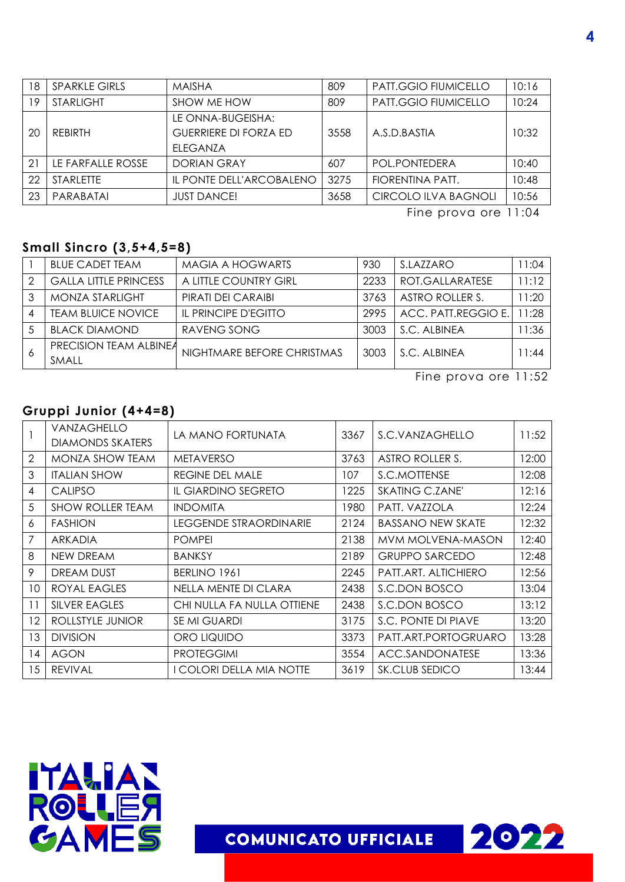| 18 | <b>SPARKLE GIRLS</b> | <b>MAISHA</b>                | 809  | <b>PATT.GGIO FIUMICELLO</b> | 10:16 |
|----|----------------------|------------------------------|------|-----------------------------|-------|
| 19 | <b>STARLIGHT</b>     | SHOW ME HOW                  | 809  | PATT.GGIO FIUMICELLO        | 10:24 |
|    |                      | LE ONNA-BUGEISHA:            |      |                             |       |
| 20 | <b>RFBIRTH</b>       | <b>GUERRIERE DI FORZA ED</b> | 3558 | A.S.D.BASTIA                | 10:32 |
|    |                      | <b>ELEGANZA</b>              |      |                             |       |
| 21 | LE FARFALLE ROSSE    | <b>DORIAN GRAY</b>           | 607  | POL.PONTEDERA               | 10:40 |
| 22 | STARI FTTF           | IL PONTE DELL'ARCOBALENO     | 3275 | FIORENTINA PATT.            | 10:48 |
| 23 | PARABATAI            | <b>JUST DANCE!</b>           | 3658 | <b>CIRCOLO ILVA BAGNOLI</b> | 10:56 |

Fine prova ore 11:04

### **Small Sincro (3,5+4,5=8)**

|   | <b>BLUE CADET TEAM</b>       | MAGIA A HOGWARTS           | 930  | S.LAZZARO           | 11:04 |
|---|------------------------------|----------------------------|------|---------------------|-------|
|   | <b>GALLA LITTLE PRINCESS</b> | A LITTLE COUNTRY GIRL      | 2233 | ROT.GALLARATESE     | 11:12 |
|   | <b>MONZA STARLIGHT</b>       | PIRATI DEI CARAIBI         | 3763 | ASTRO ROLLER S.     | 1:20  |
|   | <b>TEAM BLUICE NOVICE</b>    | IL PRINCIPE D'EGITTO       | 2995 | ACC. PATT.REGGIO E. | 11:28 |
|   | <b>BLACK DIAMOND</b>         | RAVENG SONG                | 3003 | S.C. ALBINEA        | 11:36 |
|   | PRECISION TEAM ALBINEA       | NIGHTMARE BEFORE CHRISTMAS | 3003 | S.C. ALBINFA        | 1:44  |
| Ô | SMALL                        |                            |      |                     |       |

Fine prova ore 11:52

### **Gruppi Junior (4+4=8)**

|                | VANZAGHELLO             | LA MANO FORTUNATA             | 3367 | S.C.VANZAGHELLO          | 11:52 |
|----------------|-------------------------|-------------------------------|------|--------------------------|-------|
|                | DIAMONDS SKATERS        |                               |      |                          |       |
| $\overline{2}$ | MONZA SHOW TEAM         | <b>METAVERSO</b>              | 3763 | ASTRO ROLLER S.          | 12:00 |
| 3              | <b>ITALIAN SHOW</b>     | <b>REGINE DEL MALE</b>        | 107  | S.C.MOTTENSE             | 12:08 |
| $\overline{4}$ | <b>CALIPSO</b>          | IL GIARDINO SEGRETO           | 1225 | SKATING C.ZANE'          | 12:16 |
| 5              | <b>SHOW ROLLER TEAM</b> | <b>INDOMITA</b>               | 1980 | PATT, VAZZOLA            | 12:24 |
| 6              | <b>FASHION</b>          | <b>LEGGENDE STRAORDINARIE</b> | 2124 | <b>BASSANO NEW SKATE</b> | 12:32 |
| 7              | <b>ARKADIA</b>          | <b>POMPEI</b>                 | 2138 | MVM MOLVENA-MASON        | 12:40 |
| 8              | NEW DREAM               | <b>BANKSY</b>                 | 2189 | <b>GRUPPO SARCEDO</b>    | 12:48 |
| 9              | DREAM DUST              | BERLINO 1961                  | 2245 | PATT.ART. ALTICHIERO     | 12:56 |
| 10             | ROYAL EAGLES            | NELLA MENTE DI CLARA          | 2438 | S.C.DON BOSCO            | 13:04 |
| 11             | <b>SILVER EAGLES</b>    | CHI NULLA FA NULLA OTTIENE    | 2438 | S.C.DON BOSCO            | 13:12 |
| 12             | ROLLSTYLE JUNIOR        | SE MI GUARDI                  | 3175 | S.C. PONTE DI PIAVE      | 13:20 |
| 13             | <b>DIVISION</b>         | ORO LIQUIDO                   | 3373 | PATT.ART.PORTOGRUARO     | 13:28 |
| 14             | <b>AGON</b>             | <b>PROTEGGIMI</b>             | 3554 | ACC.SANDONATESE          | 13:36 |
| 15             | <b>REVIVAL</b>          | I COLORI DELLA MIA NOTTE      | 3619 | SK.CLUB SEDICO           | 13:44 |



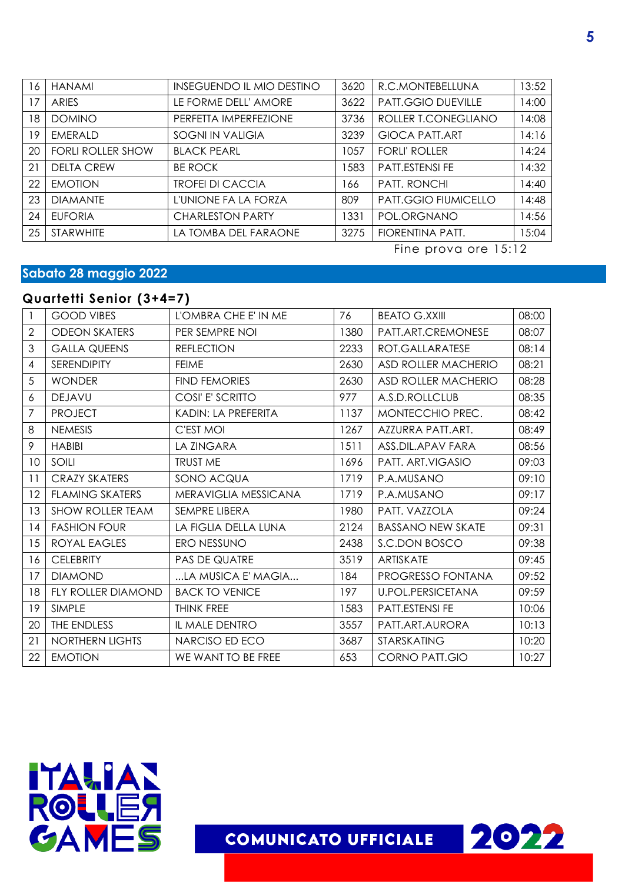| 16 | <b>HANAMI</b>            | <b>INSEGUENDO IL MIO DESTINO</b> | 3620 | R.C.MONTEBELLUNA       | 13:52 |
|----|--------------------------|----------------------------------|------|------------------------|-------|
| 17 | ARIES                    | LE FORME DELL' AMORE             | 3622 | PATT.GGIO DUEVILLE     | 14:00 |
| 18 | <b>DOMINO</b>            | PERFETTA IMPERFEZIONE            | 3736 | ROLLER T.CONEGLIANO    | 14:08 |
| 19 | EMERALD                  | SOGNI IN VALIGIA                 | 3239 | <b>GIOCA PATT.ART</b>  | 14:16 |
| 20 | <b>FORLI ROLLER SHOW</b> | <b>BLACK PEARL</b>               | 1057 | <b>FORLI' ROLLER</b>   | 14:24 |
| 21 | <b>DELTA CREW</b>        | <b>BE ROCK</b>                   | 1583 | <b>PATT.ESTENSI FE</b> | 14:32 |
| 22 | <b>EMOTION</b>           | <b>TROFEI DI CACCIA</b>          | 166  | PATT, RONCHI           | 14:40 |
| 23 | <b>DIAMANTE</b>          | L'UNIONE FA LA FORZA             | 809  | PATT.GGIO FIUMICELLO   | 14:48 |
| 24 | <b>EUFORIA</b>           | <b>CHARLESTON PARTY</b>          | 1331 | POL.ORGNANO            | 14:56 |
| 25 | <b>STARWHITE</b>         | LA TOMBA DEL FARAONE             | 3275 | FIORENTINA PATT.       | 15:04 |

Fine prova ore 15:12

# **Sabato 28 maggio 2022**

### **Quartetti Senior (3+4=7)**

|                | <b>GOOD VIBES</b>      | L'OMBRA CHE E' IN ME        | 76   | <b>BEATO G.XXIII</b>     | 08:00 |
|----------------|------------------------|-----------------------------|------|--------------------------|-------|
| $\overline{2}$ | <b>ODEON SKATERS</b>   | PER SEMPRE NOI              | 1380 | PATT.ART.CREMONESE       | 08:07 |
| 3              | <b>GALLA QUEENS</b>    | <b>REFLECTION</b>           | 2233 | ROT.GALLARATESE          | 08:14 |
| 4              | SERENDIPITY            | <b>FEIME</b>                | 2630 | ASD ROLLER MACHERIO      | 08:21 |
| 5              | <b>WONDER</b>          | <b>FIND FEMORIES</b>        | 2630 | ASD ROLLER MACHERIO      | 08:28 |
| 6              | <b>DEJAVU</b>          | COSI' E' SCRITTO            | 977  | A.S.D.ROLLCLUB           | 08:35 |
| 7              | <b>PROJECT</b>         | KADIN: LA PREFERITA         | 1137 | MONTECCHIO PREC.         | 08:42 |
| 8              | <b>NEMESIS</b>         | C'EST MOI                   | 1267 | AZZURRA PATT.ART.        | 08:49 |
| 9              | <b>HABIBI</b>          | <b>LA ZINGARA</b>           | 1511 | ASS.DIL.APAV FARA        | 08:56 |
| 10             | SOILI                  | <b>TRUST ME</b>             | 1696 | <b>PATT. ART.VIGASIO</b> | 09:03 |
| 11             | <b>CRAZY SKATERS</b>   | SONO ACQUA                  | 1719 | P.A.MUSANO               | 09:10 |
| 12             | <b>FLAMING SKATERS</b> | <b>MERAVIGLIA MESSICANA</b> | 1719 | P.A.MUSANO               | 09:17 |
| 13             | SHOW ROLLER TEAM       | SEMPRE LIBERA               | 1980 | PATT. VAZZOLA            | 09:24 |
| 14             | <b>FASHION FOUR</b>    | LA FIGLIA DELLA LUNA        | 2124 | <b>BASSANO NEW SKATE</b> | 09:31 |
| 15             | ROYAL EAGLES           | ERO NESSUNO                 | 2438 | S.C.DON BOSCO            | 09:38 |
| 16             | <b>CELEBRITY</b>       | <b>PAS DE QUATRE</b>        | 3519 | ARTISKATE                | 09:45 |
| 17             | <b>DIAMOND</b>         | LA MUSICA E' MAGIA          | 184  | PROGRESSO FONTANA        | 09:52 |
| 18             | FLY ROLLER DIAMOND     | <b>BACK TO VENICE</b>       | 197  | <b>U.POL.PERSICETANA</b> | 09:59 |
| 19             | <b>SIMPLE</b>          | THINK FREE                  | 1583 | PATT.ESTENSI FE          | 10:06 |
| 20             | THE ENDLESS            | <b>IL MALE DENTRO</b>       | 3557 | PATT.ART.AURORA          | 10:13 |
| 21             | <b>NORTHERN LIGHTS</b> | NARCISO ED ECO              | 3687 | STARSKATING              | 10:20 |
| 22             | <b>EMOTION</b>         | WE WANT TO BE FREE          | 653  | <b>CORNO PATT.GIO</b>    | 10:27 |



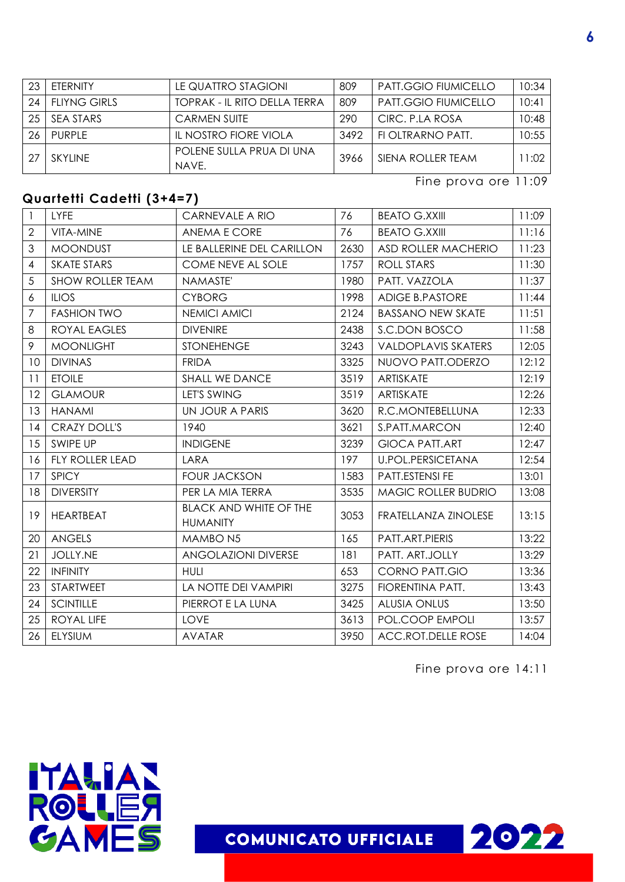| 23 | <b>FTFRNITY</b>     | LE QUATTRO STAGIONI               | 809  | <b>PATT.GGIO FIUMICELLO</b> | 10:34 |
|----|---------------------|-----------------------------------|------|-----------------------------|-------|
| 24 | <b>FLIYNG GIRLS</b> | TOPRAK - IL RITO DELLA TERRA      | 809  | <b>PATT.GGIO FIUMICELLO</b> | 10:41 |
| 25 | SFA STARS           | <b>CARMEN SUITE</b>               | 290  | CIRC. P.LA ROSA             | 10:48 |
| 26 | PURPLE              | IL NOSTRO FIORE VIOLA             | 3492 | FI OLTRARNO PATT.           | 10:55 |
| 27 | SKYLINE             | POLENE SULLA PRUA DI UNA<br>NAVE. | 3966 | SIENA ROLLER TEAM           | 1:02  |

Fine prova ore 11:09

### **Quartetti Cadetti (3+4=7)**

| $\mathbf{1}$   | <b>LYFE</b>             | CARNEVALE A RIO                                  | 76   | <b>BEATO G.XXIII</b>       | 11:09 |
|----------------|-------------------------|--------------------------------------------------|------|----------------------------|-------|
| $\overline{2}$ | VITA-MINE               | <b>ANEMA E CORE</b>                              | 76   | <b>BEATO G.XXIII</b>       | 11:16 |
| 3              | <b>MOONDUST</b>         | LE BALLERINE DEL CARILLON                        | 2630 | ASD ROLLER MACHERIO        | 11:23 |
| $\overline{4}$ | <b>SKATE STARS</b>      | COME NEVE AL SOLE                                | 1757 | ROLL STARS                 | 11:30 |
| 5              | <b>SHOW ROLLER TEAM</b> | NAMASTE'                                         | 1980 | PATT. VAZZOLA              | 11:37 |
| 6              | <b>ILIOS</b>            | <b>CYBORG</b>                                    | 1998 | <b>ADIGE B.PASTORE</b>     | 11:44 |
| $\overline{7}$ | <b>FASHION TWO</b>      | <b>NEMICI AMICI</b>                              | 2124 | <b>BASSANO NEW SKATE</b>   | 11:51 |
| 8              | ROYAL EAGLES            | <b>DIVENIRE</b>                                  | 2438 | S.C.DON BOSCO              | 11:58 |
| 9              | <b>MOONLIGHT</b>        | <b>STONEHENGE</b>                                | 3243 | <b>VALDOPLAVIS SKATERS</b> | 12:05 |
| 10             | <b>DIVINAS</b>          | <b>FRIDA</b>                                     | 3325 | NUOVO PATT.ODERZO          | 12:12 |
| 11             | <b>ETOILE</b>           | SHALL WE DANCE                                   | 3519 | ARTISKATE                  | 12:19 |
| 12             | <b>GLAMOUR</b>          | LET'S SWING                                      | 3519 | ARTISKATE                  | 12:26 |
| 13             | <b>HANAMI</b>           | UN JOUR A PARIS                                  | 3620 | R.C.MONTEBELLUNA           | 12:33 |
| 14             | <b>CRAZY DOLL'S</b>     | 1940                                             | 3621 | S.PATT.MARCON              | 12:40 |
| 15             | SWIPE UP                | <b>INDIGENE</b>                                  | 3239 | <b>GIOCA PATT.ART</b>      | 12:47 |
| 16             | <b>FLY ROLLER LEAD</b>  | LARA                                             | 197  | <b>U.POL.PERSICETANA</b>   | 12:54 |
| 17             | <b>SPICY</b>            | <b>FOUR JACKSON</b>                              | 1583 | PATT.ESTENSI FE            | 13:01 |
| 18             | <b>DIVERSITY</b>        | PER LA MIA TERRA                                 | 3535 | MAGIC ROLLER BUDRIO        | 13:08 |
| 19             | <b>HEARTBEAT</b>        | <b>BLACK AND WHITE OF THE</b><br><b>HUMANITY</b> | 3053 | FRATELLANZA ZINOLESE       | 13:15 |
| 20             | <b>ANGELS</b>           | MAMBO <sub>N5</sub>                              | 165  | PATT.ART.PIERIS            | 13:22 |
| 21             | <b>JOLLY.NE</b>         | <b>ANGOLAZIONI DIVERSE</b>                       | 181  | PATT. ART.JOLLY            | 13:29 |
| 22             | <b>INFINITY</b>         | <b>HULI</b>                                      | 653  | <b>CORNO PATT.GIO</b>      | 13:36 |
| 23             | STARTWEET               | LA NOTTE DEI VAMPIRI                             | 3275 | FIORENTINA PATT.           | 13:43 |
| 24             | <b>SCINTILLE</b>        | PIERROT E LA LUNA                                | 3425 | <b>ALUSIA ONLUS</b>        | 13:50 |
| 25             | <b>ROYAL LIFE</b>       | LOVE                                             | 3613 | POL.COOP EMPOLI            | 13:57 |
| 26             | <b>ELYSIUM</b>          | <b>AVATAR</b>                                    | 3950 | ACC.ROT.DELLE ROSE         | 14:04 |

Fine prova ore 14:11

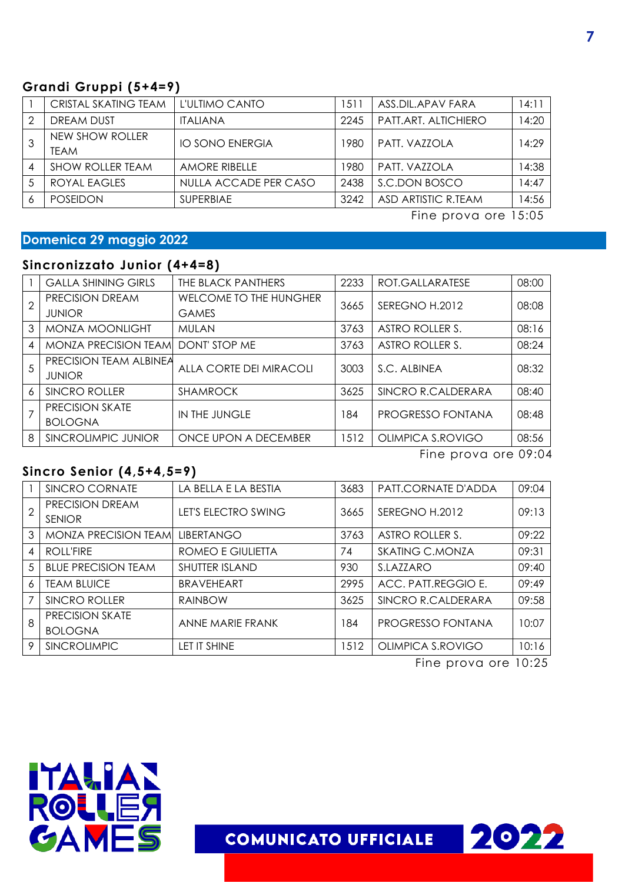### **Grandi Gruppi (5+4=9)**

|                                   | CRISTAL SKATING TEAM                  | L'ULTIMO CANTO         | 151  | ASS.DIL.APAV FARA    | l 4:11 |
|-----------------------------------|---------------------------------------|------------------------|------|----------------------|--------|
|                                   | DREAM DUST                            | <b>ITALIANA</b>        | 2245 | PATT.ART. ALTICHIERO | 14:20  |
| 3                                 | <b>NEW SHOW ROLLER</b><br><b>TFAM</b> | <b>IO SONO ENERGIA</b> | 1980 | PATT. VAZZOLA        | 14:29  |
|                                   | <b>SHOW ROLLER TEAM</b>               | <b>AMORE RIBELLE</b>   | 1980 | PATT. VAZZOLA        | 4:38   |
|                                   | ROYAL EAGLES                          | NULLA ACCADE PER CASO  | 2438 | S.C.DON BOSCO        | 14:47  |
|                                   | <b>POSEIDON</b>                       | <b>SUPERBIAE</b>       | 3242 | ASD ARTISTIC R.TEAM  | 4:56   |
| $\Gamma$ ing prove are $1 \Gamma$ |                                       |                        |      |                      |        |

Fine prova ore 15:05

## **Domenica 29 maggio 2022**

#### **Sincronizzato Junior (4+4=8)**

|                | <b>GALLA SHINING GIRLS</b>         | THE BLACK PANTHERS      | 2233 | ROT.GALLARATESE    | 08:00 |
|----------------|------------------------------------|-------------------------|------|--------------------|-------|
| $\overline{2}$ | PRECISION DREAM                    | WELCOME TO THE HUNGHER  | 3665 | SEREGNO H.2012     | 08:08 |
|                | <b>JUNIOR</b>                      | <b>GAMES</b>            |      |                    |       |
| 3              | <b>MONZA MOONLIGHT</b>             | <b>MULAN</b>            | 3763 | ASTRO ROLLER S.    | 08:16 |
| 4              | MONZA PRECISION TEAM DONT' STOP ME |                         | 3763 | ASTRO ROLLER S.    | 08:24 |
| 5              | PRECISION TEAM ALBINEA             | ALLA CORTE DEI MIRACOLI | 3003 | S.C. ALBINEA       | 08:32 |
|                | <b>JUNIOR</b>                      |                         |      |                    |       |
| 6              | <b>SINCRO ROLLER</b>               | <b>SHAMROCK</b>         | 3625 | SINCRO R.CALDERARA | 08:40 |
|                | <b>PRECISION SKATE</b>             | IN THE JUNGLE           | 184  | PROGRESSO FONTANA  | 08:48 |
|                | <b>BOLOGNA</b>                     |                         |      |                    |       |
| 8              | SINCROLIMPIC JUNIOR                | ONCE UPON A DECEMBER    | 1512 | OLIMPICA S.ROVIGO  | 08:56 |
|                |                                    |                         |      |                    |       |

#### **Sincro Senior (4,5+4,5=9)**

Fine prova ore 09:04

|                | <b>SINCRO CORNATE</b>           | LA BELLA E LA BESTIA       | 3683 | PATT.CORNATE D'ADDA      | 09:04 |
|----------------|---------------------------------|----------------------------|------|--------------------------|-------|
| $\overline{2}$ | <b>PRECISION DREAM</b>          | <b>LET'S ELECTRO SWING</b> | 3665 | SEREGNO H.2012           | 09:13 |
|                | <b>SENIOR</b>                   |                            |      |                          |       |
|                |                                 |                            |      |                          |       |
| 3              | MONZA PRECISION TEAM LIBERTANGO |                            | 3763 | ASTRO ROLLER S.          | 09:22 |
| 4              | <b>ROLL'FIRE</b>                | ROMEO E GIULIETTA          | 74   | <b>SKATING C.MONZA</b>   | 09:31 |
| $\overline{5}$ | <b>BLUE PRECISION TEAM</b>      | <b>SHUTTER ISLAND</b>      | 930  | S.LAZZARO                | 09:40 |
| 6              | <b>TEAM BLUICE</b>              | <b>BRAVEHEART</b>          | 2995 | ACC. PATT.REGGIO E.      | 09:49 |
|                | <b>SINCRO ROLLER</b>            | <b>RAINBOW</b>             | 3625 | SINCRO R.CALDERARA       | 09:58 |
| 8              | <b>PRECISION SKATE</b>          | ANNE MARIE FRANK           | 184  | <b>PROGRESSO FONTANA</b> | 10:07 |
|                | <b>BOLOGNA</b>                  |                            |      |                          |       |
| 9              | <b>SINCROLIMPIC</b>             | LET IT SHINE               | 1512 | OLIMPICA S.ROVIGO        | 10:16 |
|                |                                 |                            |      |                          |       |

**COMUNICATO UFFICIALE** 

Fine prova ore 10:25



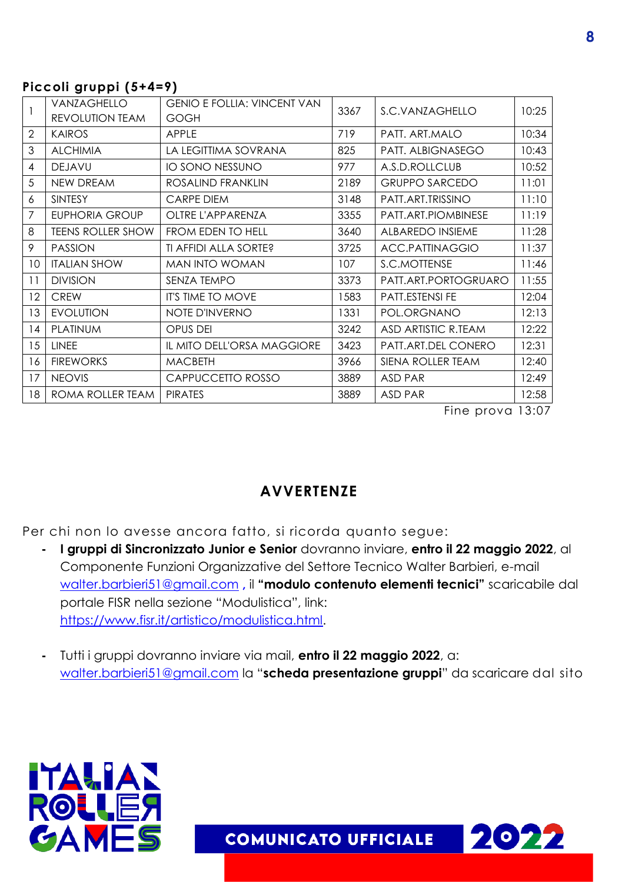### **Piccoli gruppi (5+4=9)**

|                | VANZAGHELLO              | <b>GENIO E FOLLIA: VINCENT VAN</b> | 3367 | S.C.VANZAGHELLO        | 10:25 |
|----------------|--------------------------|------------------------------------|------|------------------------|-------|
|                | <b>REVOLUTION TEAM</b>   | <b>GOGH</b>                        |      |                        |       |
| $\overline{2}$ | <b>KAIROS</b>            | APPLE                              | 719  | PATT. ART.MALO         | 10:34 |
| 3              | <b>ALCHIMIA</b>          | LA LEGITTIMA SOVRANA               | 825  | PATT. ALBIGNASEGO      | 10:43 |
| 4              | <b>DEJAVU</b>            | IO SONO NESSUNO                    | 977  | A.S.D.ROLLCLUB         | 10:52 |
| .5             | NEW DREAM                | ROSALIND FRANKLIN                  | 2189 | <b>GRUPPO SARCEDO</b>  | 11:01 |
| 6              | <b>SINTESY</b>           | <b>CARPE DIEM</b>                  | 3148 | PATT.ART.TRISSINO      | 11:10 |
| 7              | <b>EUPHORIA GROUP</b>    | OLTRE L'APPARENZA                  | 3355 | PATT.ART.PIOMBINESE    | 11:19 |
| 8              | <b>TEENS ROLLER SHOW</b> | FROM EDEN TO HELL                  | 3640 | ALBAREDO INSIEME       | 11:28 |
| 9              | <b>PASSION</b>           | TI AFFIDI ALLA SORTE?              | 3725 | ACC.PATTINAGGIO        | 11:37 |
| 10             | <b>ITALIAN SHOW</b>      | <b>MAN INTO WOMAN</b>              | 107  | S.C.MOTTENSE           | 11:46 |
| 11             | <b>DIVISION</b>          | SENZA TEMPO                        | 3373 | PATT.ART.PORTOGRUARO   | 11:55 |
| 12             | <b>CREW</b>              | IT'S TIME TO MOVE                  | 1583 | <b>PATT.ESTENSI FE</b> | 12:04 |
| 13             | <b>EVOLUTION</b>         | <b>NOTE D'INVERNO</b>              | 1331 | POL.ORGNANO            | 12:13 |
| 14             | PLATINUM                 | <b>OPUS DEI</b>                    | 3242 | ASD ARTISTIC R.TEAM    | 12:22 |
| 15             | <b>LINEE</b>             | IL MITO DELL'ORSA MAGGIORE         | 3423 | PATT.ART.DEL CONERO    | 12:31 |
| 16             | <b>FIREWORKS</b>         | <b>MACBETH</b>                     | 3966 | SIENA ROLLER TEAM      | 12:40 |
| 17             | <b>NEOVIS</b>            | CAPPUCCETTO ROSSO                  | 3889 | ASD PAR                | 12:49 |
| 18             | ROMA ROLLER TEAM         | <b>PIRATES</b>                     | 3889 | <b>ASD PAR</b>         | 12:58 |

Fine prova 13:07

# **AVVERTENZE**

Per chi non lo avesse ancora fatto, si ricorda quanto segue:

- **- I gruppi di Sincronizzato Junior e Senior** dovranno inviare, **entro il 22 maggio 2022**, al Componente Funzioni Organizzative del Settore Tecnico Walter Barbieri, e-mail [walter.barbieri51@gmail.com](mailto:walter.barbieri51@gmail.com) **,** il **"modulo contenuto elementi tecnici"** scaricabile dal portale FISR nella sezione "Modulistica", link: [https://www.fisr.it/artistico/modulistica.html.](https://www.fisr.it/artistico/modulistica.html)
- **-** Tutti i gruppi dovranno inviare via mail, **entro il 22 maggio 2022**, a: [walter.barbieri51@gmail.com](mailto:walter.barbieri51@gmail.com) la "**scheda presentazione gruppi**" da scaricare dal sito